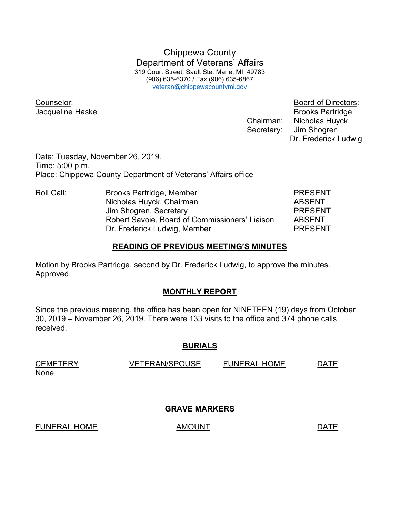Chippewa County Department of Veterans' Affairs 319 Court Street, Sault Ste. Marie, MI 49783 (906) 635-6370 / Fax (906) 635-6867 veteran@chippewacountymi.gov

Counselor: Board of Directors:

**Jacqueline Haske** Brooks Partridge Chairman: Nicholas Huyck Secretary: Jim Shogren Dr. Frederick Ludwig

Date: Tuesday, November 26, 2019. Time: 5:00 p.m. Place: Chippewa County Department of Veterans' Affairs office

Roll Call: Brooks Partridge, Member PRESENT Nicholas Huyck, Chairman **ABSENT** Jim Shogren, Secretary **PRESENT**  Robert Savoie, Board of Commissioners' Liaison ABSENT Dr. Frederick Ludwig, Member PRESENT

### READING OF PREVIOUS MEETING'S MINUTES

Motion by Brooks Partridge, second by Dr. Frederick Ludwig, to approve the minutes. Approved.

## MONTHLY REPORT

Since the previous meeting, the office has been open for NINETEEN (19) days from October 30, 2019 – November 26, 2019. There were 133 visits to the office and 374 phone calls received.

## BURIALS

None

CEMETERY VETERAN/SPOUSE FUNERAL HOME DATE

# GRAVE MARKERS

FUNERAL HOME AMOUNT AMOUNT DATE